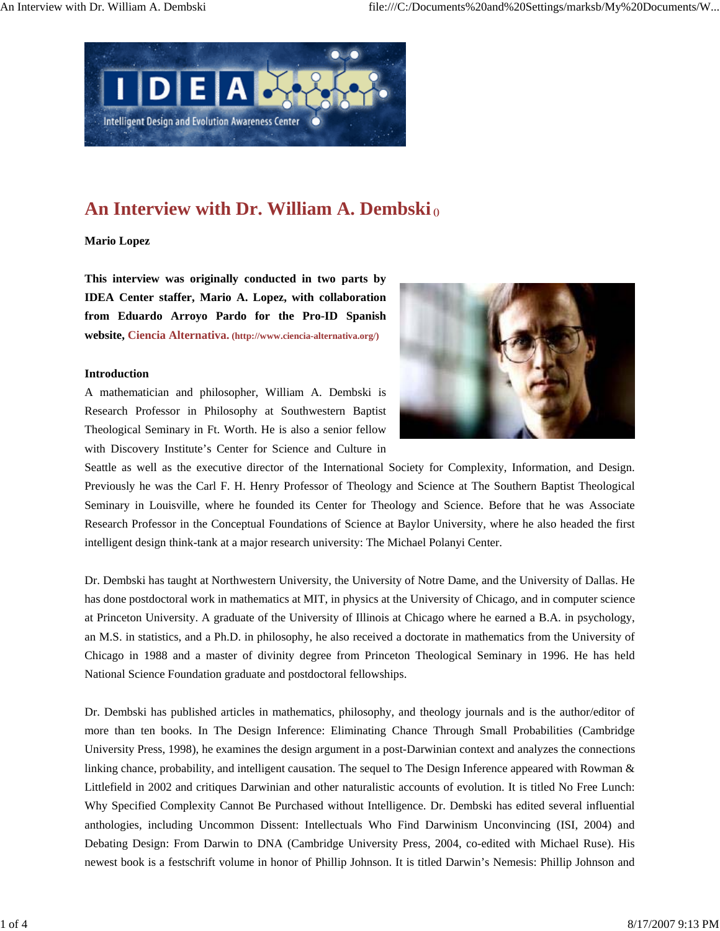

## An Interview with Dr. William A. Dembski <sup>0</sup>

## **Mario Lopez**

**This interview was originally conducted in two parts by IDEA Center staffer, Mario A. Lopez, with collaboration from Eduardo Arroyo Pardo for the Pro-ID Spanish website, Ciencia Alternativa. (http://www.ciencia-alternativa.org/)** 

## **Introduction**

A mathematician and philosopher, William A. Dembski is Research Professor in Philosophy at Southwestern Baptist Theological Seminary in Ft. Worth. He is also a senior fellow with Discovery Institute's Center for Science and Culture in



Seattle as well as the executive director of the International Society for Complexity, Information, and Design. Previously he was the Carl F. H. Henry Professor of Theology and Science at The Southern Baptist Theological Seminary in Louisville, where he founded its Center for Theology and Science. Before that he was Associate Research Professor in the Conceptual Foundations of Science at Baylor University, where he also headed the first intelligent design think-tank at a major research university: The Michael Polanyi Center.

Dr. Dembski has taught at Northwestern University, the University of Notre Dame, and the University of Dallas. He has done postdoctoral work in mathematics at MIT, in physics at the University of Chicago, and in computer science at Princeton University. A graduate of the University of Illinois at Chicago where he earned a B.A. in psychology, an M.S. in statistics, and a Ph.D. in philosophy, he also received a doctorate in mathematics from the University of Chicago in 1988 and a master of divinity degree from Princeton Theological Seminary in 1996. He has held National Science Foundation graduate and postdoctoral fellowships.

Dr. Dembski has published articles in mathematics, philosophy, and theology journals and is the author/editor of more than ten books. In The Design Inference: Eliminating Chance Through Small Probabilities (Cambridge University Press, 1998), he examines the design argument in a post-Darwinian context and analyzes the connections linking chance, probability, and intelligent causation. The sequel to The Design Inference appeared with Rowman & Littlefield in 2002 and critiques Darwinian and other naturalistic accounts of evolution. It is titled No Free Lunch: Why Specified Complexity Cannot Be Purchased without Intelligence. Dr. Dembski has edited several influential anthologies, including Uncommon Dissent: Intellectuals Who Find Darwinism Unconvincing (ISI, 2004) and Debating Design: From Darwin to DNA (Cambridge University Press, 2004, co-edited with Michael Ruse). His newest book is a festschrift volume in honor of Phillip Johnson. It is titled Darwin's Nemesis: Phillip Johnson and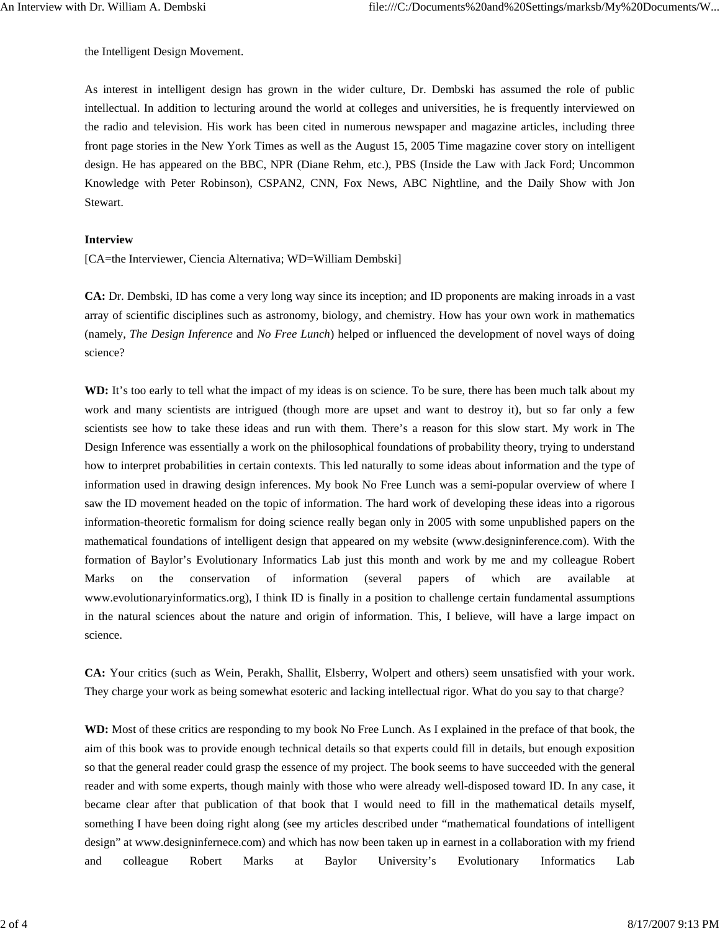the Intelligent Design Movement.

As interest in intelligent design has grown in the wider culture, Dr. Dembski has assumed the role of public intellectual. In addition to lecturing around the world at colleges and universities, he is frequently interviewed on the radio and television. His work has been cited in numerous newspaper and magazine articles, including three front page stories in the New York Times as well as the August 15, 2005 Time magazine cover story on intelligent design. He has appeared on the BBC, NPR (Diane Rehm, etc.), PBS (Inside the Law with Jack Ford; Uncommon Knowledge with Peter Robinson), CSPAN2, CNN, Fox News, ABC Nightline, and the Daily Show with Jon Stewart.

## **Interview**

[CA=the Interviewer, Ciencia Alternativa; WD=William Dembski]

**CA:** Dr. Dembski, ID has come a very long way since its inception; and ID proponents are making inroads in a vast array of scientific disciplines such as astronomy, biology, and chemistry. How has your own work in mathematics (namely, *The Design Inference* and *No Free Lunch*) helped or influenced the development of novel ways of doing science?

**WD:** It's too early to tell what the impact of my ideas is on science. To be sure, there has been much talk about my work and many scientists are intrigued (though more are upset and want to destroy it), but so far only a few scientists see how to take these ideas and run with them. There's a reason for this slow start. My work in The Design Inference was essentially a work on the philosophical foundations of probability theory, trying to understand how to interpret probabilities in certain contexts. This led naturally to some ideas about information and the type of information used in drawing design inferences. My book No Free Lunch was a semi-popular overview of where I saw the ID movement headed on the topic of information. The hard work of developing these ideas into a rigorous information-theoretic formalism for doing science really began only in 2005 with some unpublished papers on the mathematical foundations of intelligent design that appeared on my website (www.designinference.com). With the formation of Baylor's Evolutionary Informatics Lab just this month and work by me and my colleague Robert Marks on the conservation of information (several papers of which are available at www.evolutionaryinformatics.org), I think ID is finally in a position to challenge certain fundamental assumptions in the natural sciences about the nature and origin of information. This, I believe, will have a large impact on science.

**CA:** Your critics (such as Wein, Perakh, Shallit, Elsberry, Wolpert and others) seem unsatisfied with your work. They charge your work as being somewhat esoteric and lacking intellectual rigor. What do you say to that charge?

**WD:** Most of these critics are responding to my book No Free Lunch. As I explained in the preface of that book, the aim of this book was to provide enough technical details so that experts could fill in details, but enough exposition so that the general reader could grasp the essence of my project. The book seems to have succeeded with the general reader and with some experts, though mainly with those who were already well-disposed toward ID. In any case, it became clear after that publication of that book that I would need to fill in the mathematical details myself, something I have been doing right along (see my articles described under "mathematical foundations of intelligent design" at www.designinfernece.com) and which has now been taken up in earnest in a collaboration with my friend and colleague Robert Marks at Baylor University's Evolutionary Informatics Lab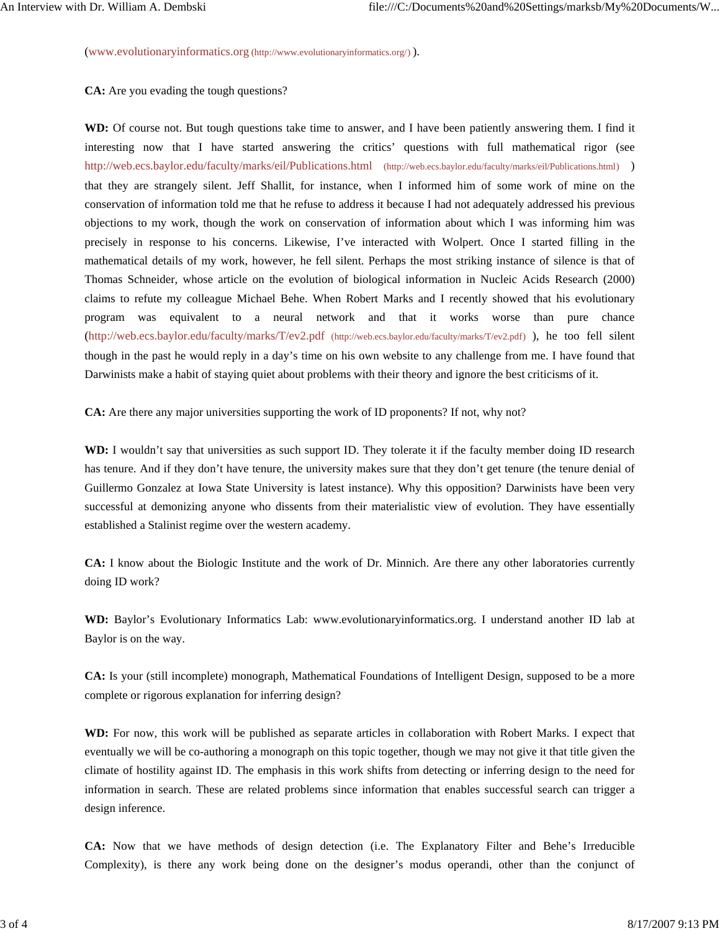(www.evolutionaryinformatics.org (http://www.evolutionaryinformatics.org/) ).

**CA:** Are you evading the tough questions?

**WD:** Of course not. But tough questions take time to answer, and I have been patiently answering them. I find it interesting now that I have started answering the critics' questions with full mathematical rigor (see http://web.ecs.baylor.edu/faculty/marks/eil/Publications.html (http://web.ecs.baylor.edu/faculty/marks/eil/Publications.html) ) that they are strangely silent. Jeff Shallit, for instance, when I informed him of some work of mine on the conservation of information told me that he refuse to address it because I had not adequately addressed his previous objections to my work, though the work on conservation of information about which I was informing him was precisely in response to his concerns. Likewise, I've interacted with Wolpert. Once I started filling in the mathematical details of my work, however, he fell silent. Perhaps the most striking instance of silence is that of Thomas Schneider, whose article on the evolution of biological information in Nucleic Acids Research (2000) claims to refute my colleague Michael Behe. When Robert Marks and I recently showed that his evolutionary program was equivalent to a neural network and that it works worse than pure chance (http://web.ecs.baylor.edu/faculty/marks/T/ev2.pdf (http://web.ecs.baylor.edu/faculty/marks/T/ev2.pdf) ), he too fell silent though in the past he would reply in a day's time on his own website to any challenge from me. I have found that Darwinists make a habit of staying quiet about problems with their theory and ignore the best criticisms of it.

**CA:** Are there any major universities supporting the work of ID proponents? If not, why not?

**WD:** I wouldn't say that universities as such support ID. They tolerate it if the faculty member doing ID research has tenure. And if they don't have tenure, the university makes sure that they don't get tenure (the tenure denial of Guillermo Gonzalez at Iowa State University is latest instance). Why this opposition? Darwinists have been very successful at demonizing anyone who dissents from their materialistic view of evolution. They have essentially established a Stalinist regime over the western academy.

**CA:** I know about the Biologic Institute and the work of Dr. Minnich. Are there any other laboratories currently doing ID work?

**WD:** Baylor's Evolutionary Informatics Lab: www.evolutionaryinformatics.org. I understand another ID lab at Baylor is on the way.

**CA:** Is your (still incomplete) monograph, Mathematical Foundations of Intelligent Design, supposed to be a more complete or rigorous explanation for inferring design?

**WD:** For now, this work will be published as separate articles in collaboration with Robert Marks. I expect that eventually we will be co-authoring a monograph on this topic together, though we may not give it that title given the climate of hostility against ID. The emphasis in this work shifts from detecting or inferring design to the need for information in search. These are related problems since information that enables successful search can trigger a design inference.

**CA:** Now that we have methods of design detection (i.e. The Explanatory Filter and Behe's Irreducible Complexity), is there any work being done on the designer's modus operandi, other than the conjunct of